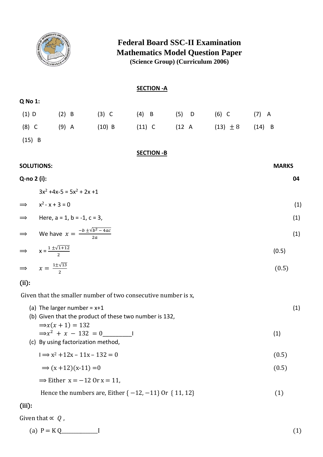

### **Federal Board SSC-II Examination Mathematics Model Question Paper (Science Group) (Curriculum 2006)**

|                   |                                                 |                                                    | <b>SECTION - A</b> |                                         |              |     |
|-------------------|-------------------------------------------------|----------------------------------------------------|--------------------|-----------------------------------------|--------------|-----|
| Q No 1:           |                                                 |                                                    |                    |                                         |              |     |
| $(1)$ D           | $(2)$ B                                         |                                                    |                    | (3) C (4) B (5) D (6) C (7) A           |              |     |
| $(8)$ C           | $(9)$ A                                         |                                                    |                    | (10) B (11) C (12 A (13) $\pm 8$ (14) B |              |     |
| $(15)$ B          |                                                 |                                                    |                    |                                         |              |     |
|                   |                                                 |                                                    | <b>SECTION - B</b> |                                         |              |     |
| <b>SOLUTIONS:</b> |                                                 |                                                    |                    |                                         | <b>MARKS</b> |     |
| Q-no 2 (i):       |                                                 |                                                    |                    |                                         |              | 04  |
|                   | $3x^2 + 4x - 5 = 5x^2 + 2x + 1$                 |                                                    |                    |                                         |              |     |
|                   | $\implies$ $x^2 - x + 3 = 0$                    |                                                    |                    |                                         |              | (1) |
|                   | $\implies$ Here, a = 1, b = -1, c = 3,          |                                                    |                    |                                         |              | (1) |
|                   |                                                 | ⇒ We have $x = \frac{-b \pm \sqrt{b^2 - 4ac}}{2a}$ |                    |                                         |              | (1) |
|                   | $\Rightarrow$ $x = \frac{1 \pm \sqrt{1+12}}{2}$ |                                                    |                    |                                         | (0.5)        |     |
|                   | $\Rightarrow$ $x = \frac{1 \pm \sqrt{13}}{2}$   |                                                    |                    |                                         | (0.5)        |     |
| $\sim$            |                                                 |                                                    |                    |                                         |              |     |

(ii):

Given that the smaller number of two consecutive number is x,

| (a) The larger number = $x+1$                          |  |
|--------------------------------------------------------|--|
| (b) Given that the product of these two number is 132, |  |

- $\Rightarrow x(x+1) = 132$  $\Rightarrow x^2 + x - 132 = 0$  (1)
- (c) By using factorization method,
	- $I \Rightarrow x^2 + 12x 11x 132 = 0$  (0.5)

$$
\Rightarrow (x+12)(x-11) = 0 \tag{0.5}
$$

 $\Rightarrow$  Either x = -12 Or x = 11,

Hence the numbers are, Either  $\{-12, -11\}$  Or  $\{11, 12\}$  (1)

### (iii):

Given that  $\propto Q$ ,

(a)  $P = KQ$  [1] [1]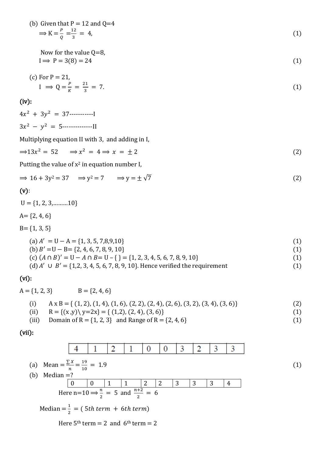(b) Given that P = 12 and Q=4  
\n
$$
\Rightarrow K = \frac{P}{Q} = \frac{12}{3} = 4,
$$
\n(1)

Now for the value Q=8,  
\n
$$
I \Rightarrow P = 3(8) = 24
$$
 (1)

(c) For 
$$
P = 21
$$
,  
\n
$$
I \Rightarrow Q = \frac{P}{K} = \frac{21}{3} = 7.
$$
\n(1)

### (iv):

 $4x^2 + 3y^2 = 37$ -------------- $3x^2 - y^2 = 5$ ------------------

Multiplying equation II with 3, and adding in I,

$$
\Rightarrow 13x^2 = 52 \qquad \Rightarrow x^2 = 4 \Rightarrow x = \pm 2 \tag{2}
$$

Putting the value of  $x^2$  in equation number I,

in L

$$
\Rightarrow 16 + 3y^2 = 37 \Rightarrow y^2 = 7 \Rightarrow y = \pm \sqrt{7}
$$
 (2)

### (v):

 $U = \{1, 2, 3, \dots, 10\}$  $A = \{2, 4, 6\}$  $B = \{1, 3, 5\}$  $(a) A' = U - A = \{1, 3, 5, 7, 8, 9, 10\}$  (1)  $(b) B' = U - B = \{2, 4, 6, 7, 8, 9, 10\}$  (1)  $(c)$   $(A \cap B)' = U - A \cap B = U - \{\} = \{1, 2, 3, 4, 5, 6, 7, 8, 9, 10\}$  (1) (d)  $A' \cup B' = \{1,2,3,4,5,6,7,8,9,10\}$ . Hence verified the requirement (1)

#### (vi):

$$
A = \{1, 2, 3\} \qquad B = \{2, 4, 6\}
$$
\n
$$
(i) \qquad A \times B = \{(1, 2), (1, 4), (1, 6), (2, 2), (2, 4), (2, 6), (3, 2), (3, 4), (3, 6)\}
$$
\n
$$
(ii) \qquad R = \{(x, y) \setminus y = 2x\} = \{(1, 2), (2, 4), (3, 6)\}
$$
\n
$$
(iii) \qquad Domain \text{ of } R = \{1, 2, 3\} \text{ and Range of } R = \{2, 4, 6\}
$$
\n
$$
(1)
$$

 $\sim 10^{-11}$ 

(vii):

(a) Mean = 
$$
\frac{\sum x}{n} = \frac{19}{10} = 1.9
$$
  
\n(b) Median =?\n
$$
\begin{array}{|c|c|c|c|c|c|c|}\n\hline\n0 & 0 & 1 & 1 & 2 & 2 & 3 & 3 & 4 \\
\hline\n0 & 0 & 1 & 1 & 2 & 2 & 3 & 3 & 4 \\
\hline\n0 & 0 & 1 & 1 & 2 & 2 & 3 & 3 & 4 \\
\hline\n0 & 0 & \frac{n+2}{2} & 5 & 3 & 3 & 4 & 4 \\
\hline\n0 & 0 & \frac{n+2}{2} & 6 & 6 & 6 & 6 \\
\hline\n0 & 0 & 1 & 1 & 2 & 2 & 3 & 3 & 4 \\
\hline\n0 & 0 & 0 & 1 & 1 & 2 & 2 & 3 & 3 \\
\hline\n0 & 0 & 0 & 1 & 1 & 2 & 2 & 3 & 3 \\
\hline\n0 & 0 & 0 & 1 & 1 & 2 & 2 & 3 & 3 & 4 \\
\hline\n0 & 0 & 0 & 0 & 1 & 1 & 2 & 2 & 3 & 3 & 4 \\
\hline\n0 & 0 & 0 & 0 & 0 & 0 & 0 & 0 & 0 \\
\hline\n0 & 0 & 0 & 0 & 0 & 0 & 0 & 0 & 0 & 0 \\
\hline\n0 & 0 & 0 & 0 & 0 & 0 & 0 & 0 & 0 & 0 \\
\hline\n0 & 0 & 0 & 0 & 0 & 0 & 0 & 0 & 0 & 0 \\
\hline\n0 & 0 & 0 & 0 & 0 & 0 & 0 & 0 & 0 & 0 \\
\hline\n0 & 0 & 0 & 0 & 0 & 0 & 0 & 0 & 0 & 0 \\
\hline\n0 & 0 & 0 & 0 & 0 & 0 & 0 & 0 & 0 & 0 & 0 \\
\hline\n0 & 0 & 0 & 0 & 0 & 0 & 0 & 0 & 0 & 0 & 0 \\
\hline\n0 & 0 & 0 & 0 & 0 & 0 & 0 & 0 & 0 & 0 & 0 \\
\hline\n0 & 0 & 0 & 0 & 0 & 0 & 0 & 0 & 0 & 0 & 0 \\
\hline\n0 & 0 & 0 & 0 & 0 & 0 & 0 & 0 & 0 & 0 & 0 & 0 \\
\hline\n0 &
$$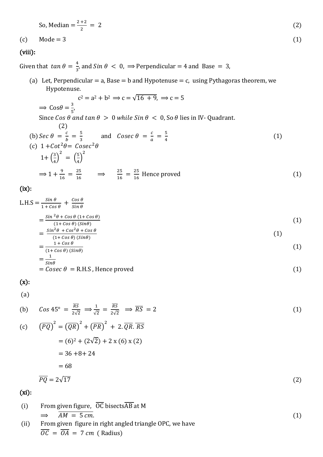So, Median = 
$$
\frac{2+2}{2} = 2
$$
 (2)

$$
(c) \qquad \text{Mode} = 3 \tag{1}
$$

# (viii):

Given that  $tan \theta = \frac{4}{3}$  $\frac{4}{3}$ , and Sin  $\theta < 0$ ,  $\Rightarrow$  Perpendicular = 4 and Base = 3,

(a) Let, Perpendicular = a, Base = b and Hypotenuse = c, using Pythagoras theorem, we Hypotenuse.

$$
c^{2} = a^{2} + b^{2} \Rightarrow c = \sqrt{16 + 9}, \Rightarrow c = 5
$$
  
\n
$$
\Rightarrow \cos \theta = \frac{3}{5},
$$
  
\nSince  $\cos \theta$  and  $\tan \theta > 0$  while  $\sin \theta < 0$ , so  $\theta$  lies in IV- Quadrant.  
\n(2)  
\n(b)  $\sec \theta = \frac{c}{b} = \frac{5}{3}$  and  $\csc \theta = \frac{c}{a} = \frac{5}{4}$   
\n(c)  $1 + \cot^{2} \theta = \csc^{2} \theta$   
\n $1 + \left(\frac{3}{4}\right)^{2} = \left(\frac{5}{4}\right)^{2}$   
\n $\Rightarrow 1 + \frac{9}{16} = \frac{25}{16}$   $\Rightarrow \frac{25}{16} = \frac{25}{16}$  Hence proved (1)

(ix):

$$
L.H.S = \frac{\sin \theta}{1 + \cos \theta} + \frac{\cos \theta}{\sin \theta}
$$
  

$$
\sin^2 \theta + \cos \theta (1 + \cos \theta)
$$
 (1)

$$
=\frac{\sin \theta + \cos \theta \left(1 + \cos \theta\right)}{(1 + \cos \theta)\left(\sin \theta\right)}\tag{1}
$$
\n
$$
\sin^2 \theta + \cos^2 \theta + \cos \theta\tag{2}
$$

$$
=\frac{\sin\theta+\cos\theta+\cos\theta}{(1+\cos\theta)(\sin\theta)}\tag{1}
$$

$$
=\frac{1+\cos\theta}{(1+\cos\theta)(\sin\theta)}
$$
(1)  

$$
=\frac{1}{\cos\theta}
$$

$$
\begin{aligned}\n\sin\theta &= \text{Cosec } \theta = \text{R.H.S.} \\
\text{Hence proved}\n\end{aligned}\n\tag{1}
$$

$$
(x):
$$

(a)

(b) 
$$
Cos 45^{\circ} = \frac{\overline{RS}}{2\sqrt{2}} \implies \frac{1}{\sqrt{2}} = \frac{\overline{RS}}{2\sqrt{2}} \implies \overline{RS} = 2
$$
 (1)

$$
(c) \quad (\overline{PQ})^2 = (\overline{QR})^2 + (\overline{PR})^2 + 2.\overline{QR}.\overline{RS}
$$
\n
$$
= (6)^2 + (2\sqrt{2}) + 2 \times (6) \times (2)
$$
\n
$$
= 36 + 8 + 24
$$
\n
$$
= 68
$$
\n
$$
\overline{PQ} = 2\sqrt{17}
$$
\n(2)

(xi):

\n- (i) From given figure, 
$$
\overline{OC}
$$
 bisectsAB at M
\n- $\Rightarrow$   $\overline{AM} = 5 \, \text{cm}$ .
\n- (ii) From given figure in right-angled triangle OPC, we have
\n- $\overline{OC} = \overline{OA} = 7 \, \text{cm}$  (Radius)
\n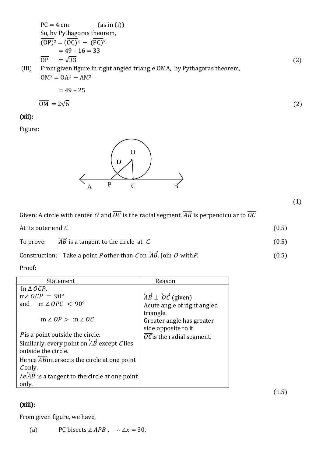$$
\overline{PC} = 4 \text{ cm} \qquad \text{(as in (i))}
$$
\nSo, by Pythagoras theorem,\n
$$
\overline{(OP)^2} = (\overline{OC})^2 - (\overline{PC})^2
$$
\n
$$
= 49 - 16 = 33
$$
\n
$$
\overline{OP} = \sqrt{33}
$$
\n(iii) From given figure in right-angled triangle OMA, by Pythagoras theorem,\n
$$
\overline{OM^2} = \overline{OA^2} - \overline{AM^2}
$$
\n
$$
= 49 - 25
$$
\n(2)

$$
\overline{\text{OM}} = 2\sqrt{6} \tag{2}
$$

### (xii):

Figure:



Given: A circle with center O and  $\overline{OC}$  is the radial segment.  $\overline{AB}$  is perpendicular to  $\overline{OC}$ 

At its outer end  $C$ .  $(0.5)$ 

To prove:  $\overleftrightarrow{AB}$  is a tangent to the circle at C. (0.5)

Construction: Take a point *P* other than *C* on  $\overleftrightarrow{AB}$ . Join *O* with *P*. (0.5)

Proof:

| Statement                                                    | Reason                                                      |
|--------------------------------------------------------------|-------------------------------------------------------------|
| In $\triangle OCP$ ,                                         |                                                             |
| $m\angle OCP = 90^{\circ}$                                   | $\overrightarrow{AB}$ $\perp$ $\overrightarrow{OC}$ (given) |
| and $m \angle OPC < 90^{\circ}$                              | Acute angle of right angled                                 |
|                                                              | triangle.                                                   |
| $m \angle OP > m \angle OC$                                  | Greater angle has greater                                   |
|                                                              | side opposite to it                                         |
| Pis a point outside the circle.                              | <i>OC</i> is the radial segment.                            |
| Similarly, every point on $\overrightarrow{AB}$ except Clies |                                                             |
| outside the circle.                                          |                                                             |
| Hence $\overline{AB}$ intersects the circle at one point     |                                                             |
| Conly.                                                       |                                                             |
| <i>i.e.AB</i> is a tangent to the circle at one point        |                                                             |
| only.                                                        |                                                             |

(1.5)

## (xiii):

From given figure, we have,

(a) PC bisects  $\angle APB$ , ∴  $\angle x = 30$ .

(1)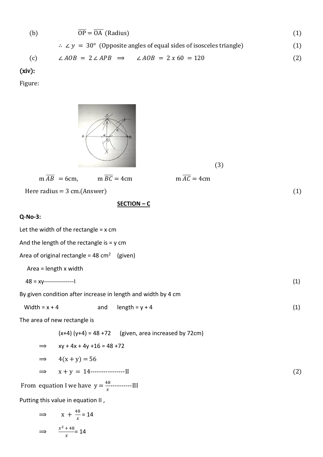(b) 
$$
\overline{OP} = \overline{OA}
$$
 (Radius)  
\n $\therefore \angle y = 30^{\circ}$  (Opposite angles of equal sides of isosceles triangle) (1)

$$
(c) \qquad \angle AOB = 2 \angle APB \implies \angle AOB = 2 x 60 = 120 \tag{2}
$$

(xiv):

Figure:

 $\Rightarrow$   $\frac{x^2 + 48}{x}$ 

 $\frac{1}{x}$  = 14

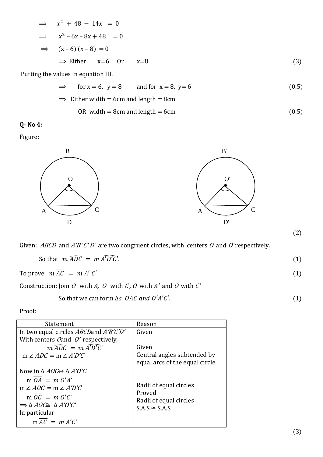$$
\Rightarrow x^2 + 48 - 14x = 0
$$
  
\n
$$
\Rightarrow x^2 - 6x - 8x + 48 = 0
$$
  
\n
$$
\Rightarrow (x - 6) (x - 8) = 0
$$
  
\n
$$
\Rightarrow \text{Either } x=6 \text{ Or } x=8
$$
 (3)

Putting the values in equation III,

$$
\Rightarrow \quad \text{for } x = 6, \ y = 8 \quad \text{and for } x = 8, \ y = 6 \tag{0.5}
$$

$$
\Rightarrow
$$
 Either width = 6cm and length = 8cm

OR width = 8cm and length = 6cm 
$$
(0.5)
$$

Q- No 4:

Figure:



Given: ABCD and A'B' C' D' are two congruent circles, with centers O and O' respectively.

| So that $m \widehat{ADC} = m \widehat{A'D'C'}$ . |  |
|--------------------------------------------------|--|
|                                                  |  |

To prove: 
$$
m\overline{AC} = m\overline{A'C'}
$$
 (1)

Construction: Join  $O$  with  $A$ ,  $O$  with  $C$ ,  $O$  with  $A'$  and  $O$  with  $C'$ 

So that we can form  $\Delta s$  *OAC and O'A'C'*. (1)

Proof:

| Statement                                                | Reason                          |
|----------------------------------------------------------|---------------------------------|
| In two equal circles <i>ABCD</i> and <i>A'B'C'D'</i>     | Given                           |
| With centers $O$ and $O'$ respectively,                  |                                 |
| $m \widehat{ADC} = m \widehat{A'D'C'}$                   | Given                           |
| $m \angle ADC = m \angle A'D'C$                          | Central angles subtended by     |
|                                                          | equal arcs of the equal circle. |
| Now in $\triangle AOC \leftrightarrow \triangle A'O'C$   |                                 |
| $m \overline{OA} = m O'A'$                               |                                 |
| $m \angle ADC = m \angle A'D'C$                          | Radii of equal circles          |
| $m \overline{OC} = m O'C'$                               | Proved                          |
| $\Rightarrow$ $\triangle$ AOC $\cong$ $\triangle$ A'O'C' | Radii of equal circles          |
| In particular                                            | $S.A.S \cong S.A.S$             |
| $m \overline{AC} = m A'C'$                               |                                 |
|                                                          |                                 |

(2)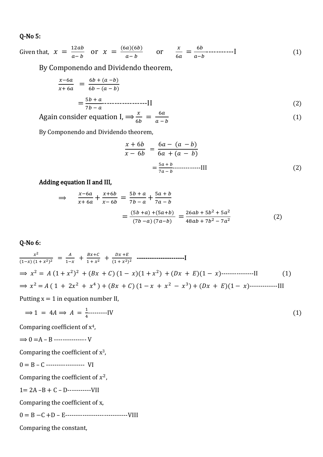#### Q-No 5:

Given that,  $x = \frac{12ab}{a-b}$  $\frac{12ab}{a-b}$  or  $x = \frac{(6a)(6b)}{a-b}$  $\frac{a(6b)}{a-b}$  or  $\frac{x}{60}$  $\frac{x}{6a} = \frac{6b}{a-b}$ − -----------I (1)

By Componendo and Dividendo theorem,

$$
\frac{x-6a}{x+6a} = \frac{6b + (a-b)}{6b - (a-b)} \n= \frac{5b+a}{7b-a} \n\tag{2}
$$

Again consider equation I, 
$$
\Rightarrow \frac{x}{6b} = \frac{6a}{a-b}
$$
 (1)

By Componendo and Dividendo theorem,

$$
\frac{x+6b}{x-6b} = \frac{6a - (a - b)}{6a + (a - b)}
$$

$$
= \frac{5a + b}{7a - b} \qquad (2)
$$

### Adding equation II and III,

$$
\Rightarrow \frac{x-6a}{x+6a} + \frac{x+6b}{x-6b} = \frac{5b+a}{7b-a} + \frac{5a+b}{7a-b}
$$

$$
= \frac{(5b+a) + (5a+b)}{(7b-a) (7a-b)} = \frac{26ab + 5b^2 + 5a^2}{48ab + 7b^2 - 7a^2}
$$
(2)

### Q-No 6:

$$
\frac{x^2}{(1-x)(1+x^2)^2} = \frac{A}{1-x} + \frac{Bx+C}{1+x^2} + \frac{Dx+E}{(1+x^2)^2}
$$
.................  
\n
$$
\Rightarrow x^2 = A(1+x^2)^2 + (Bx+C)(1-x)(1+x^2) + (Dx+E)(1-x).................\n
$$
\Rightarrow x^2 = A(1+2x^2+x^4) + (Bx+C)(1-x+x^2-x^3) + (Dx+E)(1-x).................\nPutting x = 1 in equation number II
$$
\n(1)
$$

Putting  $x = 1$  in equation number II,

$$
\Rightarrow 1 = 4A \Rightarrow A = \frac{1}{4} \quad \text{[1]}
$$

Comparing coefficient of x4,

$$
\Longrightarrow 0 = A - B \cdots \cdots \cdots \cdots V
$$

Comparing the coefficient of  $x^3$ ,

$$
0 = B - C
$$

Comparing the coefficient of  $x^2$ ,

 $1= 2A - B + C - D$ -------------VII

Comparing the coefficient of x,

0 = B −C +D – E-----------------------------VIII

Comparing the constant,